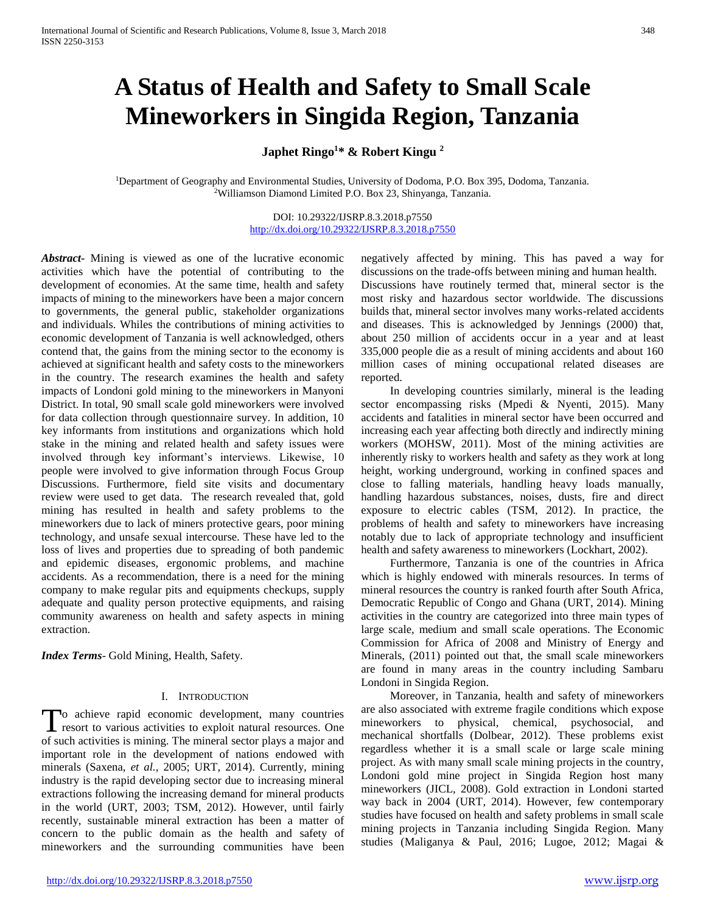# **A Status of Health and Safety to Small Scale Mineworkers in Singida Region, Tanzania**

**Japhet Ringo<sup>1</sup>\* & Robert Kingu <sup>2</sup>**

<sup>1</sup>Department of Geography and Environmental Studies, University of Dodoma, P.O. Box 395, Dodoma, Tanzania. <sup>2</sup>Williamson Diamond Limited P.O. Box 23, Shinyanga, Tanzania.

> DOI: 10.29322/IJSRP.8.3.2018.p7550 <http://dx.doi.org/10.29322/IJSRP.8.3.2018.p7550>

*Abstract***-** Mining is viewed as one of the lucrative economic activities which have the potential of contributing to the development of economies. At the same time, health and safety impacts of mining to the mineworkers have been a major concern to governments, the general public, stakeholder organizations and individuals. Whiles the contributions of mining activities to economic development of Tanzania is well acknowledged, others contend that, the gains from the mining sector to the economy is achieved at significant health and safety costs to the mineworkers in the country. The research examines the health and safety impacts of Londoni gold mining to the mineworkers in Manyoni District. In total, 90 small scale gold mineworkers were involved for data collection through questionnaire survey. In addition, 10 key informants from institutions and organizations which hold stake in the mining and related health and safety issues were involved through key informant's interviews. Likewise, 10 people were involved to give information through Focus Group Discussions. Furthermore, field site visits and documentary review were used to get data. The research revealed that, gold mining has resulted in health and safety problems to the mineworkers due to lack of miners protective gears, poor mining technology, and unsafe sexual intercourse. These have led to the loss of lives and properties due to spreading of both pandemic and epidemic diseases, ergonomic problems, and machine accidents. As a recommendation, there is a need for the mining company to make regular pits and equipments checkups, supply adequate and quality person protective equipments, and raising community awareness on health and safety aspects in mining extraction.

*Index Terms*- Gold Mining, Health, Safety.

#### I. INTRODUCTION

o achieve rapid economic development, many countries To achieve rapid economic development, many countries<br>resort to various activities to exploit natural resources. One of such activities is mining. The mineral sector plays a major and important role in the development of nations endowed with minerals (Saxena, *et al.,* 2005; URT, 2014). Currently, mining industry is the rapid developing sector due to increasing mineral extractions following the increasing demand for mineral products in the world (URT, 2003; TSM, 2012). However, until fairly recently, sustainable mineral extraction has been a matter of concern to the public domain as the health and safety of mineworkers and the surrounding communities have been

negatively affected by mining. This has paved a way for discussions on the trade-offs between mining and human health. Discussions have routinely termed that, mineral sector is the most risky and hazardous sector worldwide. The discussions builds that, mineral sector involves many works-related accidents and diseases. This is acknowledged by Jennings (2000) that, about 250 million of accidents occur in a year and at least 335,000 people die as a result of mining accidents and about 160 million cases of mining occupational related diseases are reported.

 In developing countries similarly, mineral is the leading sector encompassing risks (Mpedi & Nyenti, 2015). Many accidents and fatalities in mineral sector have been occurred and increasing each year affecting both directly and indirectly mining workers (MOHSW, 2011). Most of the mining activities are inherently risky to workers health and safety as they work at long height, working underground, working in confined spaces and close to falling materials, handling heavy loads manually, handling hazardous substances, noises, dusts, fire and direct exposure to electric cables (TSM, 2012). In practice, the problems of health and safety to mineworkers have increasing notably due to lack of appropriate technology and insufficient health and safety awareness to mineworkers (Lockhart, 2002).

 Furthermore, Tanzania is one of the countries in Africa which is highly endowed with minerals resources. In terms of mineral resources the country is ranked fourth after South Africa, Democratic Republic of Congo and Ghana (URT, 2014). Mining activities in the country are categorized into three main types of large scale, medium and small scale operations. The Economic Commission for Africa of 2008 and Ministry of Energy and Minerals, (2011) pointed out that, the small scale mineworkers are found in many areas in the country including Sambaru Londoni in Singida Region.

 Moreover, in Tanzania, health and safety of mineworkers are also associated with extreme fragile conditions which expose mineworkers to physical, chemical, psychosocial, and mechanical shortfalls (Dolbear, 2012). These problems exist regardless whether it is a small scale or large scale mining project. As with many small scale mining projects in the country, Londoni gold mine project in Singida Region host many mineworkers (JICL, 2008). Gold extraction in Londoni started way back in 2004 (URT, 2014). However, few contemporary studies have focused on health and safety problems in small scale mining projects in Tanzania including Singida Region. Many studies (Maliganya & Paul, 2016; Lugoe, 2012; Magai &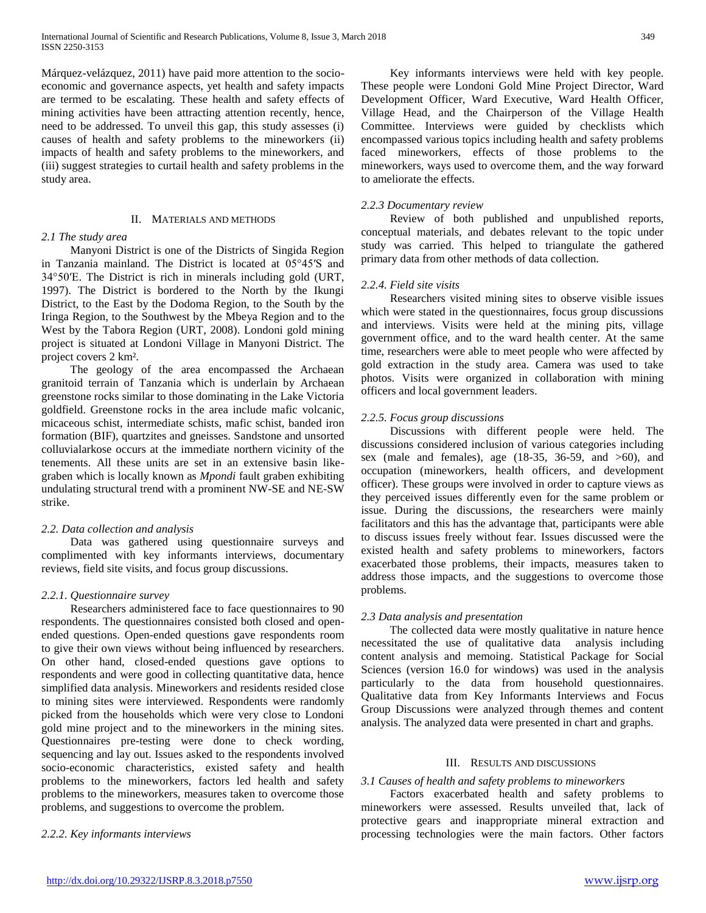Márquez-velázquez, 2011) have paid more attention to the socioeconomic and governance aspects, yet health and safety impacts are termed to be escalating. These health and safety effects of mining activities have been attracting attention recently, hence, need to be addressed. To unveil this gap, this study assesses (i) causes of health and safety problems to the mineworkers (ii) impacts of health and safety problems to the mineworkers, and (iii) suggest strategies to curtail health and safety problems in the study area.

## II. MATERIALS AND METHODS

## *2.1 The study area*

 Manyoni District is one of the Districts of Singida Region in Tanzania mainland. The District is located at [05°45′S and](https://tools.wmflabs.org/geohack/geohack.php?pagename=Manyoni_District¶ms=05_45_S_34_50_E_type:adm2nd)  [34°50′E.](https://tools.wmflabs.org/geohack/geohack.php?pagename=Manyoni_District¶ms=05_45_S_34_50_E_type:adm2nd) The District is rich in minerals including gold (URT, 1997). The District is bordered to the North by the Ikungi District, to the East by the Dodoma Region, to the South by the Iringa Region, to the Southwest by the Mbeya Region and to the West by the Tabora Region (URT, 2008). Londoni gold mining project is situated at Londoni Village in Manyoni District. The project covers 2 km².

 The geology of the area encompassed the Archaean granitoid terrain of Tanzania which is underlain by Archaean greenstone rocks similar to those dominating in the Lake Victoria goldfield. Greenstone rocks in the area include mafic volcanic, micaceous schist, intermediate schists, mafic schist, banded iron formation (BIF), quartzites and gneisses. Sandstone and unsorted colluvialarkose occurs at the immediate northern vicinity of the tenements. All these units are set in an extensive basin likegraben which is locally known as *Mpondi* fault graben exhibiting undulating structural trend with a prominent NW-SE and NE-SW strike.

## *2.2. Data collection and analysis*

 Data was gathered using questionnaire surveys and complimented with key informants interviews, documentary reviews, field site visits, and focus group discussions.

## *2.2.1. Questionnaire survey*

 Researchers administered face to face questionnaires to 90 respondents. The questionnaires consisted both closed and openended questions. Open-ended questions gave respondents room to give their own views without being influenced by researchers. On other hand, closed-ended questions gave options to respondents and were good in collecting quantitative data, hence simplified data analysis. Mineworkers and residents resided close to mining sites were interviewed. Respondents were randomly picked from the households which were very close to Londoni gold mine project and to the mineworkers in the mining sites. Questionnaires pre-testing were done to check wording, sequencing and lay out. Issues asked to the respondents involved socio-economic characteristics, existed safety and health problems to the mineworkers, factors led health and safety problems to the mineworkers, measures taken to overcome those problems, and suggestions to overcome the problem.

*2.2.2. Key informants interviews*

 Key informants interviews were held with key people. These people were Londoni Gold Mine Project Director, Ward Development Officer, Ward Executive, Ward Health Officer, Village Head, and the Chairperson of the Village Health Committee. Interviews were guided by checklists which encompassed various topics including health and safety problems faced mineworkers, effects of those problems to the mineworkers, ways used to overcome them, and the way forward to ameliorate the effects.

## *2.2.3 Documentary review*

 Review of both published and unpublished reports, conceptual materials, and debates relevant to the topic under study was carried. This helped to triangulate the gathered primary data from other methods of data collection.

## *2.2.4. Field site visits*

 Researchers visited mining sites to observe visible issues which were stated in the questionnaires, focus group discussions and interviews. Visits were held at the mining pits, village government office, and to the ward health center. At the same time, researchers were able to meet people who were affected by gold extraction in the study area. Camera was used to take photos. Visits were organized in collaboration with mining officers and local government leaders.

#### *2.2.5. Focus group discussions*

 Discussions with different people were held. The discussions considered inclusion of various categories including sex (male and females), age  $(18-35, 36-59, and >60)$ , and occupation (mineworkers, health officers, and development officer). These groups were involved in order to capture views as they perceived issues differently even for the same problem or issue. During the discussions, the researchers were mainly facilitators and this has the advantage that, participants were able to discuss issues freely without fear. Issues discussed were the existed health and safety problems to mineworkers, factors exacerbated those problems, their impacts, measures taken to address those impacts, and the suggestions to overcome those problems.

## *2.3 Data analysis and presentation*

 The collected data were mostly qualitative in nature hence necessitated the use of qualitative data analysis including content analysis and memoing. Statistical Package for Social Sciences (version 16.0 for windows) was used in the analysis particularly to the data from household questionnaires. Qualitative data from Key Informants Interviews and Focus Group Discussions were analyzed through themes and content analysis. The analyzed data were presented in chart and graphs.

#### III. RESULTS AND DISCUSSIONS

#### *3.1 Causes of health and safety problems to mineworkers*

 Factors exacerbated health and safety problems to mineworkers were assessed. Results unveiled that, lack of protective gears and inappropriate mineral extraction and processing technologies were the main factors. Other factors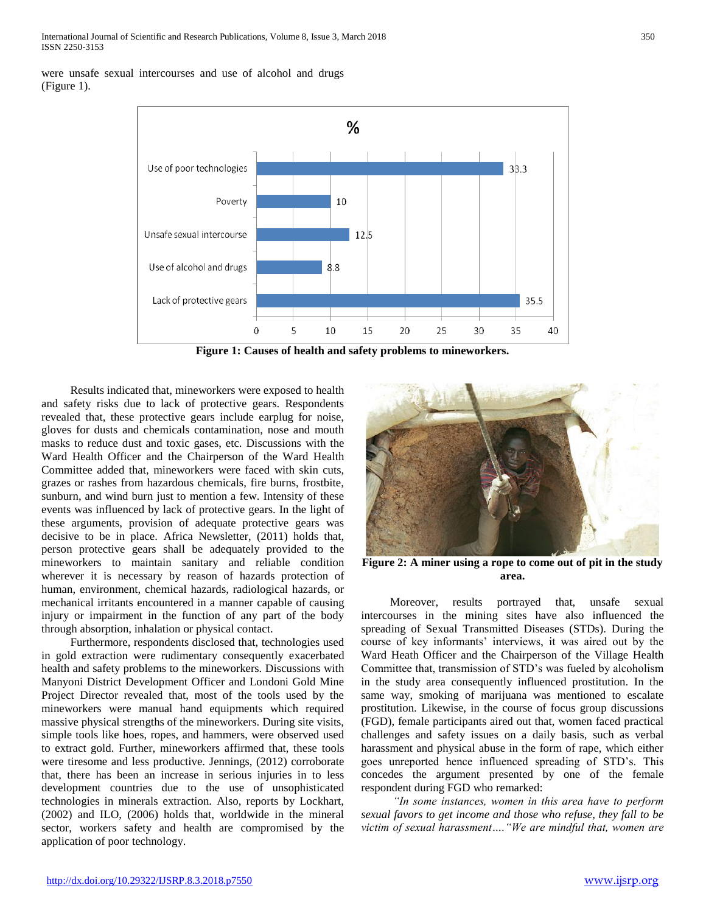International Journal of Scientific and Research Publications, Volume 8, Issue 3, March 2018 350 ISSN 2250-3153

were unsafe sexual intercourses and use of alcohol and drugs (Figure 1).



**Figure 1: Causes of health and safety problems to mineworkers.**

 Results indicated that, mineworkers were exposed to health and safety risks due to lack of protective gears. Respondents revealed that, these protective gears include earplug for noise, gloves for dusts and chemicals contamination, nose and mouth masks to reduce dust and toxic gases, etc. Discussions with the Ward Health Officer and the Chairperson of the Ward Health Committee added that, mineworkers were faced with skin cuts, grazes or rashes from hazardous chemicals, fire burns, frostbite, sunburn, and wind burn just to mention a few. Intensity of these events was influenced by lack of protective gears. In the light of these arguments, provision of adequate protective gears was decisive to be in place. Africa Newsletter, (2011) holds that, person protective gears shall be adequately provided to the mineworkers to maintain sanitary and reliable condition wherever it is necessary by reason of hazards protection of human, environment, chemical hazards, radiological hazards, or mechanical irritants encountered in a manner capable of causing injury or impairment in the function of any part of the body through absorption, inhalation or physical contact.

 Furthermore, respondents disclosed that, technologies used in gold extraction were rudimentary consequently exacerbated health and safety problems to the mineworkers. Discussions with Manyoni District Development Officer and Londoni Gold Mine Project Director revealed that, most of the tools used by the mineworkers were manual hand equipments which required massive physical strengths of the mineworkers. During site visits, simple tools like hoes, ropes, and hammers, were observed used to extract gold. Further, mineworkers affirmed that, these tools were tiresome and less productive. Jennings, (2012) corroborate that, there has been an increase in serious injuries in to less development countries due to the use of unsophisticated technologies in minerals extraction. Also, reports by Lockhart, (2002) and ILO, (2006) holds that, worldwide in the mineral sector, workers safety and health are compromised by the application of poor technology.



**Figure 2: A miner using a rope to come out of pit in the study area.**

 Moreover, results portrayed that, unsafe sexual intercourses in the mining sites have also influenced the spreading of Sexual Transmitted Diseases (STDs). During the course of key informants' interviews, it was aired out by the Ward Heath Officer and the Chairperson of the Village Health Committee that, transmission of STD's was fueled by alcoholism in the study area consequently influenced prostitution. In the same way, smoking of marijuana was mentioned to escalate prostitution. Likewise, in the course of focus group discussions (FGD), female participants aired out that, women faced practical challenges and safety issues on a daily basis, such as verbal harassment and physical abuse in the form of rape, which either goes unreported hence influenced spreading of STD's. This concedes the argument presented by one of the female respondent during FGD who remarked:

 *"In some instances, women in this area have to perform sexual favors to get income and those who refuse, they fall to be victim of sexual harassment…."We are mindful that, women are*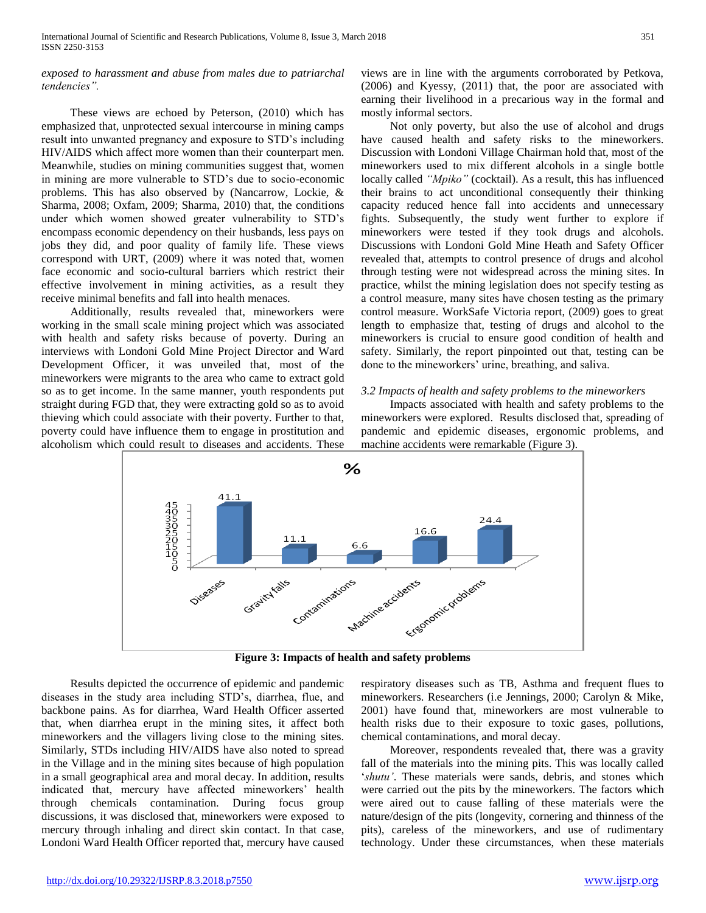#### *exposed to harassment and abuse from males due to patriarchal tendencies".*

 These views are echoed by Peterson, (2010) which has emphasized that, unprotected sexual intercourse in mining camps result into unwanted pregnancy and exposure to STD's including HIV/AIDS which affect more women than their counterpart men. Meanwhile, studies on mining communities suggest that, women in mining are more vulnerable to STD's due to socio-economic problems. This has also observed by (Nancarrow, Lockie, & Sharma, 2008; Oxfam, 2009; Sharma, 2010) that, the conditions under which women showed greater vulnerability to STD's encompass economic dependency on their husbands, less pays on jobs they did, and poor quality of family life. These views correspond with URT, (2009) where it was noted that, women face economic and socio-cultural barriers which restrict their effective involvement in mining activities, as a result they receive minimal benefits and fall into health menaces.

 Additionally, results revealed that, mineworkers were working in the small scale mining project which was associated with health and safety risks because of poverty. During an interviews with Londoni Gold Mine Project Director and Ward Development Officer, it was unveiled that, most of the mineworkers were migrants to the area who came to extract gold so as to get income. In the same manner, youth respondents put straight during FGD that, they were extracting gold so as to avoid thieving which could associate with their poverty. Further to that, poverty could have influence them to engage in prostitution and alcoholism which could result to diseases and accidents. These views are in line with the arguments corroborated by Petkova, (2006) and Kyessy, (2011) that, the poor are associated with earning their livelihood in a precarious way in the formal and mostly informal sectors.

 Not only poverty, but also the use of alcohol and drugs have caused health and safety risks to the mineworkers. Discussion with Londoni Village Chairman hold that, most of the mineworkers used to mix different alcohols in a single bottle locally called *"Mpiko"* (cocktail). As a result, this has influenced their brains to act unconditional consequently their thinking capacity reduced hence fall into accidents and unnecessary fights. Subsequently, the study went further to explore if mineworkers were tested if they took drugs and alcohols. Discussions with Londoni Gold Mine Heath and Safety Officer revealed that, attempts to control presence of drugs and alcohol through testing were not widespread across the mining sites. In practice, whilst the mining legislation does not specify testing as a control measure, many sites have chosen testing as the primary control measure. WorkSafe Victoria report, (2009) goes to great length to emphasize that, testing of drugs and alcohol to the mineworkers is crucial to ensure good condition of health and safety. Similarly, the report pinpointed out that, testing can be done to the mineworkers' urine, breathing, and saliva.

#### *3.2 Impacts of health and safety problems to the mineworkers*

 Impacts associated with health and safety problems to the mineworkers were explored. Results disclosed that, spreading of pandemic and epidemic diseases, ergonomic problems, and machine accidents were remarkable (Figure 3).



**Figure 3: Impacts of health and safety problems**

 Results depicted the occurrence of epidemic and pandemic diseases in the study area including STD's, diarrhea, flue, and backbone pains. As for diarrhea, Ward Health Officer asserted that, when diarrhea erupt in the mining sites, it affect both mineworkers and the villagers living close to the mining sites. Similarly, STDs including HIV/AIDS have also noted to spread in the Village and in the mining sites because of high population in a small geographical area and moral decay. In addition, results indicated that, mercury have affected mineworkers' health through chemicals contamination. During focus group discussions, it was disclosed that, mineworkers were [exposed](http://www.greenfacts.org/glossary/def/exposure-exposed-expose.htm) to mercury through [inhaling](http://www.greenfacts.org/glossary/ghi/inhalation-inhale.htm) and direct skin contact. In that case, Londoni Ward Health Officer reported that, mercury have caused

respiratory diseases such as TB, Asthma and frequent flues to mineworkers. Researchers (i.e Jennings, 2000; Carolyn & Mike, 2001) have found that, mineworkers are most vulnerable to health risks due to their exposure to toxic gases, pollutions, chemical contaminations, and moral decay.

 Moreover, respondents revealed that, there was a gravity fall of the materials into the mining pits. This was locally called '*shutu'*. These materials were sands, debris, and stones which were carried out the pits by the mineworkers. The factors which were aired out to cause falling of these materials were the nature/design of the pits (longevity, cornering and thinness of the pits), careless of the mineworkers, and use of rudimentary technology. Under these circumstances, when these materials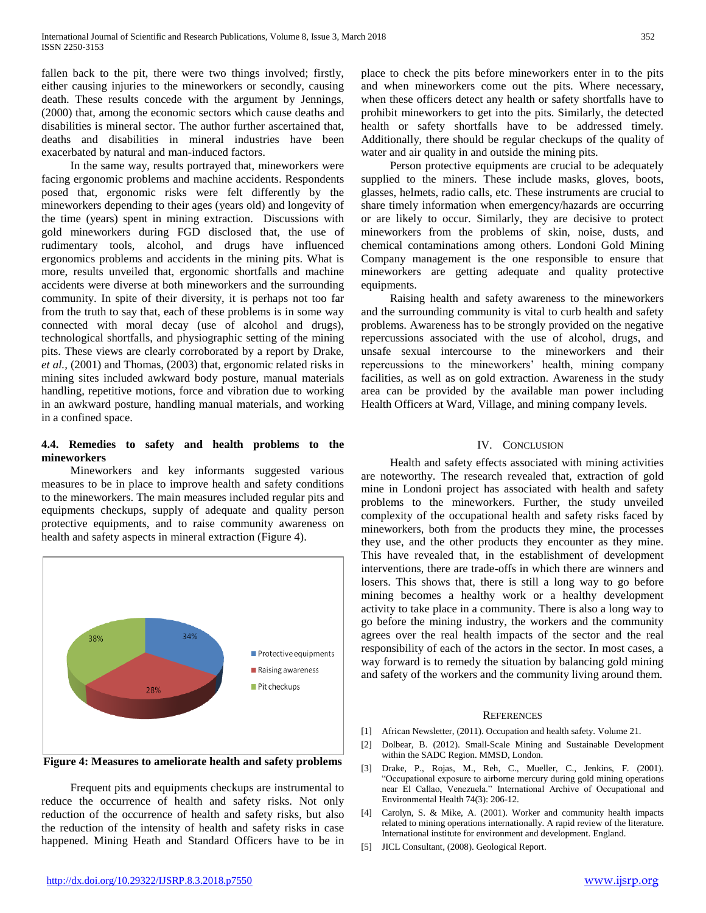fallen back to the pit, there were two things involved; firstly, either causing injuries to the mineworkers or secondly, causing death. These results concede with the argument by Jennings, (2000) that, among the economic sectors which cause deaths and disabilities is mineral sector. The author further ascertained that, deaths and disabilities in mineral industries have been exacerbated by natural and man-induced factors.

 In the same way, results portrayed that, mineworkers were facing ergonomic problems and machine accidents. Respondents posed that, ergonomic risks were felt differently by the mineworkers depending to their ages (years old) and longevity of the time (years) spent in mining extraction. Discussions with gold mineworkers during FGD disclosed that, the use of rudimentary tools, alcohol, and drugs have influenced ergonomics problems and accidents in the mining pits. What is more, results unveiled that, ergonomic shortfalls and machine accidents were diverse at both mineworkers and the surrounding community. In spite of their diversity, it is perhaps not too far from the truth to say that, each of these problems is in some way connected with moral decay (use of alcohol and drugs), technological shortfalls, and physiographic setting of the mining pits. These views are clearly corroborated by a report by Drake, *et al.,* (2001) and Thomas, (2003) that, ergonomic related risks in mining sites included awkward body posture, manual materials handling, repetitive motions, force and vibration due to working in an awkward posture, handling manual materials, and working in a confined space.

## **4.4. Remedies to safety and health problems to the mineworkers**

 Mineworkers and key informants suggested various measures to be in place to improve health and safety conditions to the mineworkers. The main measures included regular pits and equipments checkups, supply of adequate and quality person protective equipments, and to raise community awareness on health and safety aspects in mineral extraction (Figure 4).



**Figure 4: Measures to ameliorate health and safety problems**

 Frequent pits and equipments checkups are instrumental to reduce the occurrence of health and safety risks. Not only reduction of the occurrence of health and safety risks, but also the reduction of the intensity of health and safety risks in case happened. Mining Heath and Standard Officers have to be in place to check the pits before mineworkers enter in to the pits and when mineworkers come out the pits. Where necessary, when these officers detect any health or safety shortfalls have to prohibit mineworkers to get into the pits. Similarly, the detected health or safety shortfalls have to be addressed timely. Additionally, there should be regular checkups of the quality of water and air quality in and outside the mining pits.

 Person protective equipments are crucial to be adequately supplied to the miners. These include masks, gloves, boots, glasses, helmets, radio calls, etc. These instruments are crucial to share timely information when emergency/hazards are occurring or are likely to occur. Similarly, they are decisive to protect mineworkers from the problems of skin, noise, dusts, and chemical contaminations among others. Londoni Gold Mining Company management is the one responsible to ensure that mineworkers are getting adequate and quality protective equipments.

 Raising health and safety awareness to the mineworkers and the surrounding community is vital to curb health and safety problems. Awareness has to be strongly provided on the negative repercussions associated with the use of alcohol, drugs, and unsafe sexual intercourse to the mineworkers and their repercussions to the mineworkers' health, mining company facilities, as well as on gold extraction. Awareness in the study area can be provided by the available man power including Health Officers at Ward, Village, and mining company levels.

#### IV. CONCLUSION

 Health and safety effects associated with mining activities are noteworthy. The research revealed that, extraction of gold mine in Londoni project has associated with health and safety problems to the mineworkers. Further, the study unveiled complexity of the occupational health and safety risks faced by mineworkers, both from the products they mine, the processes they use, and the other products they encounter as they mine. This have revealed that, in the establishment of development interventions, there are trade-offs in which there are winners and losers. This shows that, there is still a long way to go before mining becomes a healthy work or a healthy development activity to take place in a community. There is also a long way to go before the mining industry, the workers and the community agrees over the real health impacts of the sector and the real responsibility of each of the actors in the sector. In most cases, a way forward is to remedy the situation by balancing gold mining and safety of the workers and the community living around them.

#### **REFERENCES**

- [1] African Newsletter, (2011). Occupation and health safety. Volume 21.
- [2] Dolbear, B. (2012). Small-Scale Mining and Sustainable Development within the SADC Region. MMSD, London.
- [3] Drake, P., Rojas, M., Reh, C., Mueller, C., Jenkins, F. (2001). "Occupational exposure to airborne mercury during gold mining operations near El Callao, Venezuela." International Archive of Occupational and Environmental Health 74(3): 206-12.
- [4] Carolyn, S. & Mike, A. (2001). Worker and community health impacts related to mining operations internationally. A rapid review of the literature. International institute for environment and development. England.
- [5] JICL Consultant, (2008). Geological Report.